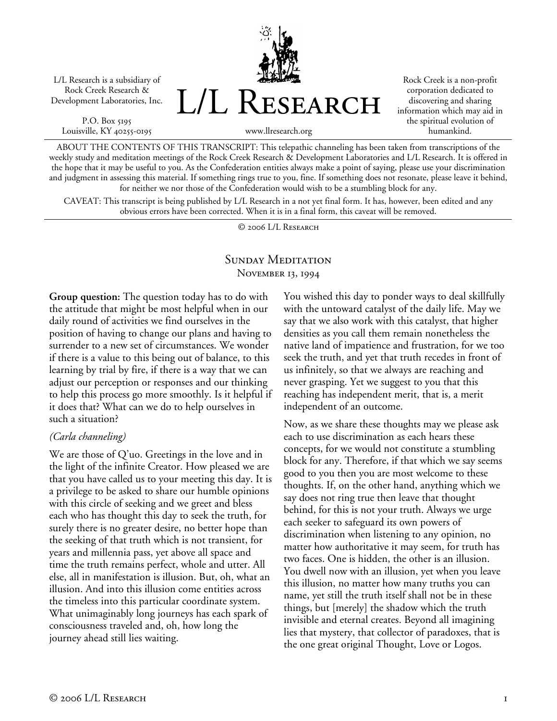L/L Research is a subsidiary of Rock Creek Research & Development Laboratories, Inc.

P.O. Box 5195 Louisville, KY 40255-0195



Rock Creek is a non-profit corporation dedicated to discovering and sharing information which may aid in the spiritual evolution of humankind.

www.llresearch.org

ABOUT THE CONTENTS OF THIS TRANSCRIPT: This telepathic channeling has been taken from transcriptions of the weekly study and meditation meetings of the Rock Creek Research & Development Laboratories and L/L Research. It is offered in the hope that it may be useful to you. As the Confederation entities always make a point of saying, please use your discrimination and judgment in assessing this material. If something rings true to you, fine. If something does not resonate, please leave it behind, for neither we nor those of the Confederation would wish to be a stumbling block for any.

CAVEAT: This transcript is being published by L/L Research in a not yet final form. It has, however, been edited and any obvious errors have been corrected. When it is in a final form, this caveat will be removed.

© 2006 L/L Research

#### SUNDAY MEDITATION November 13, 1994

**Group question:** The question today has to do with the attitude that might be most helpful when in our daily round of activities we find ourselves in the position of having to change our plans and having to surrender to a new set of circumstances. We wonder if there is a value to this being out of balance, to this learning by trial by fire, if there is a way that we can adjust our perception or responses and our thinking to help this process go more smoothly. Is it helpful if it does that? What can we do to help ourselves in such a situation?

#### *(Carla channeling)*

We are those of Q'uo. Greetings in the love and in the light of the infinite Creator. How pleased we are that you have called us to your meeting this day. It is a privilege to be asked to share our humble opinions with this circle of seeking and we greet and bless each who has thought this day to seek the truth, for surely there is no greater desire, no better hope than the seeking of that truth which is not transient, for years and millennia pass, yet above all space and time the truth remains perfect, whole and utter. All else, all in manifestation is illusion. But, oh, what an illusion. And into this illusion come entities across the timeless into this particular coordinate system. What unimaginably long journeys has each spark of consciousness traveled and, oh, how long the journey ahead still lies waiting.

You wished this day to ponder ways to deal skillfully with the untoward catalyst of the daily life. May we say that we also work with this catalyst, that higher densities as you call them remain nonetheless the native land of impatience and frustration, for we too seek the truth, and yet that truth recedes in front of us infinitely, so that we always are reaching and never grasping. Yet we suggest to you that this reaching has independent merit, that is, a merit independent of an outcome.

Now, as we share these thoughts may we please ask each to use discrimination as each hears these concepts, for we would not constitute a stumbling block for any. Therefore, if that which we say seems good to you then you are most welcome to these thoughts. If, on the other hand, anything which we say does not ring true then leave that thought behind, for this is not your truth. Always we urge each seeker to safeguard its own powers of discrimination when listening to any opinion, no matter how authoritative it may seem, for truth has two faces. One is hidden, the other is an illusion. You dwell now with an illusion, yet when you leave this illusion, no matter how many truths you can name, yet still the truth itself shall not be in these things, but [merely] the shadow which the truth invisible and eternal creates. Beyond all imagining lies that mystery, that collector of paradoxes, that is the one great original Thought, Love or Logos.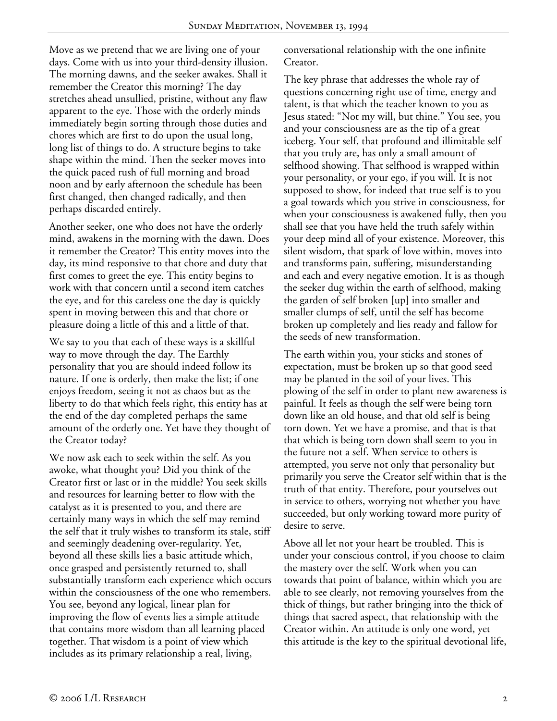Move as we pretend that we are living one of your days. Come with us into your third-density illusion. The morning dawns, and the seeker awakes. Shall it remember the Creator this morning? The day stretches ahead unsullied, pristine, without any flaw apparent to the eye. Those with the orderly minds immediately begin sorting through those duties and chores which are first to do upon the usual long, long list of things to do. A structure begins to take shape within the mind. Then the seeker moves into the quick paced rush of full morning and broad noon and by early afternoon the schedule has been first changed, then changed radically, and then perhaps discarded entirely.

Another seeker, one who does not have the orderly mind, awakens in the morning with the dawn. Does it remember the Creator? This entity moves into the day, its mind responsive to that chore and duty that first comes to greet the eye. This entity begins to work with that concern until a second item catches the eye, and for this careless one the day is quickly spent in moving between this and that chore or pleasure doing a little of this and a little of that.

We say to you that each of these ways is a skillful way to move through the day. The Earthly personality that you are should indeed follow its nature. If one is orderly, then make the list; if one enjoys freedom, seeing it not as chaos but as the liberty to do that which feels right, this entity has at the end of the day completed perhaps the same amount of the orderly one. Yet have they thought of the Creator today?

We now ask each to seek within the self. As you awoke, what thought you? Did you think of the Creator first or last or in the middle? You seek skills and resources for learning better to flow with the catalyst as it is presented to you, and there are certainly many ways in which the self may remind the self that it truly wishes to transform its stale, stiff and seemingly deadening over-regularity. Yet, beyond all these skills lies a basic attitude which, once grasped and persistently returned to, shall substantially transform each experience which occurs within the consciousness of the one who remembers. You see, beyond any logical, linear plan for improving the flow of events lies a simple attitude that contains more wisdom than all learning placed together. That wisdom is a point of view which includes as its primary relationship a real, living,

conversational relationship with the one infinite Creator.

The key phrase that addresses the whole ray of questions concerning right use of time, energy and talent, is that which the teacher known to you as Jesus stated: "Not my will, but thine." You see, you and your consciousness are as the tip of a great iceberg. Your self, that profound and illimitable self that you truly are, has only a small amount of selfhood showing. That selfhood is wrapped within your personality, or your ego, if you will. It is not supposed to show, for indeed that true self is to you a goal towards which you strive in consciousness, for when your consciousness is awakened fully, then you shall see that you have held the truth safely within your deep mind all of your existence. Moreover, this silent wisdom, that spark of love within, moves into and transforms pain, suffering, misunderstanding and each and every negative emotion. It is as though the seeker dug within the earth of selfhood, making the garden of self broken [up] into smaller and smaller clumps of self, until the self has become broken up completely and lies ready and fallow for the seeds of new transformation.

The earth within you, your sticks and stones of expectation, must be broken up so that good seed may be planted in the soil of your lives. This plowing of the self in order to plant new awareness is painful. It feels as though the self were being torn down like an old house, and that old self is being torn down. Yet we have a promise, and that is that that which is being torn down shall seem to you in the future not a self. When service to others is attempted, you serve not only that personality but primarily you serve the Creator self within that is the truth of that entity. Therefore, pour yourselves out in service to others, worrying not whether you have succeeded, but only working toward more purity of desire to serve.

Above all let not your heart be troubled. This is under your conscious control, if you choose to claim the mastery over the self. Work when you can towards that point of balance, within which you are able to see clearly, not removing yourselves from the thick of things, but rather bringing into the thick of things that sacred aspect, that relationship with the Creator within. An attitude is only one word, yet this attitude is the key to the spiritual devotional life,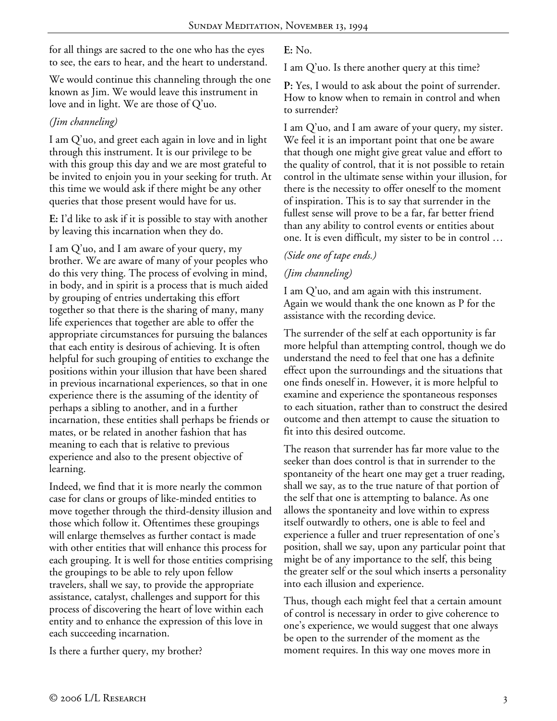for all things are sacred to the one who has the eyes to see, the ears to hear, and the heart to understand.

We would continue this channeling through the one known as Jim. We would leave this instrument in love and in light. We are those of Q'uo.

### *(Jim channeling)*

I am Q'uo, and greet each again in love and in light through this instrument. It is our privilege to be with this group this day and we are most grateful to be invited to enjoin you in your seeking for truth. At this time we would ask if there might be any other queries that those present would have for us.

**E:** I'd like to ask if it is possible to stay with another by leaving this incarnation when they do.

I am Q'uo, and I am aware of your query, my brother. We are aware of many of your peoples who do this very thing. The process of evolving in mind, in body, and in spirit is a process that is much aided by grouping of entries undertaking this effort together so that there is the sharing of many, many life experiences that together are able to offer the appropriate circumstances for pursuing the balances that each entity is desirous of achieving. It is often helpful for such grouping of entities to exchange the positions within your illusion that have been shared in previous incarnational experiences, so that in one experience there is the assuming of the identity of perhaps a sibling to another, and in a further incarnation, these entities shall perhaps be friends or mates, or be related in another fashion that has meaning to each that is relative to previous experience and also to the present objective of learning.

Indeed, we find that it is more nearly the common case for clans or groups of like-minded entities to move together through the third-density illusion and those which follow it. Oftentimes these groupings will enlarge themselves as further contact is made with other entities that will enhance this process for each grouping. It is well for those entities comprising the groupings to be able to rely upon fellow travelers, shall we say, to provide the appropriate assistance, catalyst, challenges and support for this process of discovering the heart of love within each entity and to enhance the expression of this love in each succeeding incarnation.

Is there a further query, my brother?

**E:** No.

I am Q'uo. Is there another query at this time?

**P:** Yes, I would to ask about the point of surrender. How to know when to remain in control and when to surrender?

I am Q'uo, and I am aware of your query, my sister. We feel it is an important point that one be aware that though one might give great value and effort to the quality of control, that it is not possible to retain control in the ultimate sense within your illusion, for there is the necessity to offer oneself to the moment of inspiration. This is to say that surrender in the fullest sense will prove to be a far, far better friend than any ability to control events or entities about one. It is even difficult, my sister to be in control …

## *(Side one of tape ends.)*

# *(Jim channeling)*

I am Q'uo, and am again with this instrument. Again we would thank the one known as P for the assistance with the recording device.

The surrender of the self at each opportunity is far more helpful than attempting control, though we do understand the need to feel that one has a definite effect upon the surroundings and the situations that one finds oneself in. However, it is more helpful to examine and experience the spontaneous responses to each situation, rather than to construct the desired outcome and then attempt to cause the situation to fit into this desired outcome.

The reason that surrender has far more value to the seeker than does control is that in surrender to the spontaneity of the heart one may get a truer reading, shall we say, as to the true nature of that portion of the self that one is attempting to balance. As one allows the spontaneity and love within to express itself outwardly to others, one is able to feel and experience a fuller and truer representation of one's position, shall we say, upon any particular point that might be of any importance to the self, this being the greater self or the soul which inserts a personality into each illusion and experience.

Thus, though each might feel that a certain amount of control is necessary in order to give coherence to one's experience, we would suggest that one always be open to the surrender of the moment as the moment requires. In this way one moves more in